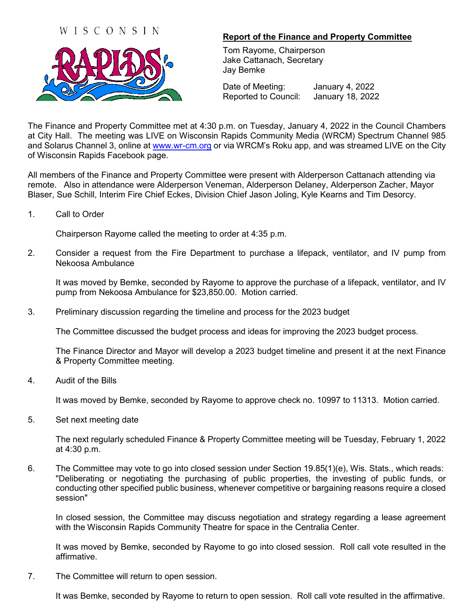## WISCONSIN



## **Report of the Finance and Property Committee**

Tom Rayome, Chairperson Jake Cattanach, Secretary Jay Bemke

Date of Meeting: January 4, 2022 Reported to Council: January 18, 2022

The Finance and Property Committee met at 4:30 p.m. on Tuesday, January 4, 2022 in the Council Chambers at City Hall. The meeting was LIVE on Wisconsin Rapids Community Media (WRCM) Spectrum Channel 985 and Solarus Channel 3, online at [www.wr-cm.org](http://www.wr-cm.org/) or via WRCM's Roku app, and was streamed LIVE on the City of Wisconsin Rapids Facebook page.

All members of the Finance and Property Committee were present with Alderperson Cattanach attending via remote. Also in attendance were Alderperson Veneman, Alderperson Delaney, Alderperson Zacher, Mayor Blaser, Sue Schill, Interim Fire Chief Eckes, Division Chief Jason Joling, Kyle Kearns and Tim Desorcy.

1. Call to Order

Chairperson Rayome called the meeting to order at 4:35 p.m.

2. Consider a request from the Fire Department to purchase a lifepack, ventilator, and IV pump from Nekoosa Ambulance

It was moved by Bemke, seconded by Rayome to approve the purchase of a lifepack, ventilator, and IV pump from Nekoosa Ambulance for \$23,850.00. Motion carried.

3. Preliminary discussion regarding the timeline and process for the 2023 budget

The Committee discussed the budget process and ideas for improving the 2023 budget process.

The Finance Director and Mayor will develop a 2023 budget timeline and present it at the next Finance & Property Committee meeting.

4. Audit of the Bills

It was moved by Bemke, seconded by Rayome to approve check no. 10997 to 11313. Motion carried.

5. Set next meeting date

The next regularly scheduled Finance & Property Committee meeting will be Tuesday, February 1, 2022 at 4:30 p.m.

6. The Committee may vote to go into closed session under Section 19.85(1)(e), Wis. Stats., which reads: "Deliberating or negotiating the purchasing of public properties, the investing of public funds, or conducting other specified public business, whenever competitive or bargaining reasons require a closed session"

In closed session, the Committee may discuss negotiation and strategy regarding a lease agreement with the Wisconsin Rapids Community Theatre for space in the Centralia Center.

It was moved by Bemke, seconded by Rayome to go into closed session. Roll call vote resulted in the affirmative.

7. The Committee will return to open session.

It was Bemke, seconded by Rayome to return to open session. Roll call vote resulted in the affirmative.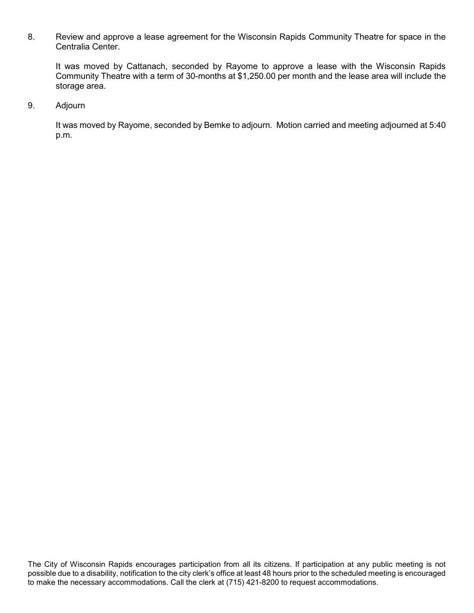8. Review and approve a lease agreement for the Wisconsin Rapids Community Theatre for space in the Centralia Center.

It was moved by Cattanach, seconded by Rayome to approve a lease with the Wisconsin Rapids Community Theatre with a term of 30-months at \$1,250.00 per month and the lease area will include the storage area.

9. Adjourn

It was moved by Rayome, seconded by Bemke to adjourn. Motion carried and meeting adjourned at 5:40 p.m.

The City of Wisconsin Rapids encourages participation from all its citizens. If participation at any public meeting is not possible due to a disability, notification to the city clerk's office at least 48 hours prior to the scheduled meeting is encouraged to make the necessary accommodations. Call the clerk at (715) 421-8200 to request accommodations.